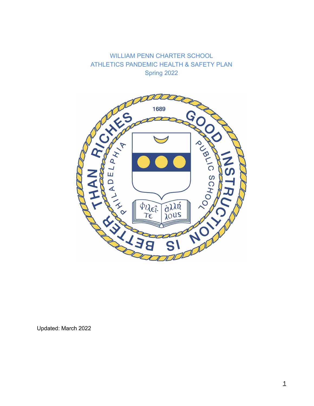WILLIAM PENN CHARTER SCHOOL ATHLETICS PANDEMIC HEALTH & SAFETY PLAN Spring 2022



Updated: March 2022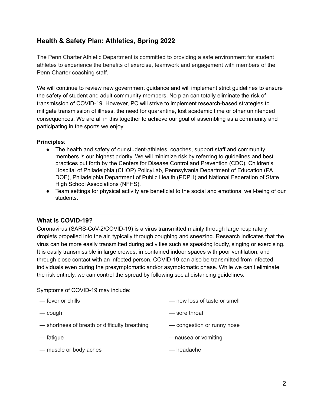# **Health & Safety Plan: Athletics, Spring 2022**

The Penn Charter Athletic Department is committed to providing a safe environment for student athletes to experience the benefits of exercise, teamwork and engagement with members of the Penn Charter coaching staff.

We will continue to review new government guidance and will implement strict guidelines to ensure the safety of student and adult community members. No plan can totally eliminate the risk of transmission of COVID-19. However, PC will strive to implement research-based strategies to mitigate transmission of illness, the need for quarantine, lost academic time or other unintended consequences. We are all in this together to achieve our goal of assembling as a community and participating in the sports we enjoy.

### **Principles**:

- The health and safety of our student-athletes, coaches, support staff and community members is our highest priority. We will minimize risk by referring to guidelines and best practices put forth by the Centers for Disease Control and Prevention (CDC), Children's Hospital of Philadelphia (CHOP) PolicyLab, Pennsylvania Department of Education (PA DOE), Philadelphia Department of Public Health (PDPH) and National Federation of State High School Associations (NFHS).
- Team settings for physical activity are beneficial to the social and emotional well-being of our students.

# **What is COVID-19?**

Coronavirus (SARS-CoV-2/COVID-19) is a virus transmitted mainly through large respiratory droplets propelled into the air, typically through coughing and sneezing. Research indicates that the virus can be more easily transmitted during activities such as speaking loudly, singing or exercising. It is easily transmissible in large crowds, in contained indoor spaces with poor ventilation, and through close contact with an infected person. COVID-19 can also be transmitted from infected individuals even during the presymptomatic and/or asymptomatic phase. While we can't eliminate the risk entirely, we can control the spread by following social distancing guidelines.

Symptoms of COVID-19 may include:

| - fever or chills                             | - new loss of taste or smell |
|-----------------------------------------------|------------------------------|
| — cough                                       | — sore throat                |
| - shortness of breath or difficulty breathing | - congestion or runny nose   |
| — fatigue                                     | -nausea or vomiting          |
| - muscle or body aches                        | — headache                   |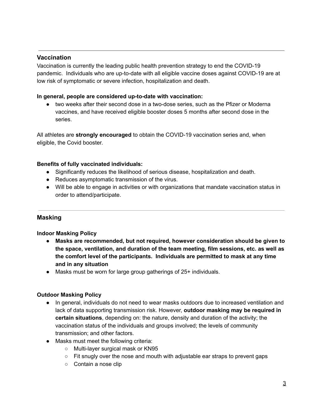# **Vaccination**

Vaccination is currently the leading public health prevention strategy to end the COVID-19 pandemic. Individuals who are up-to-date with all eligible vaccine doses against COVID-19 are at low risk of symptomatic or severe infection, hospitalization and death.

#### **In general, people are considered up-to-date with vaccination:**

● two weeks after their second dose in a two-dose series, such as the Pfizer or Moderna vaccines, and have received eligible booster doses 5 months after second dose in the series.

All athletes are **strongly encouraged** to obtain the COVID-19 vaccination series and, when eligible, the Covid booster.

#### **Benefits of fully vaccinated individuals:**

- Significantly reduces the likelihood of serious disease, hospitalization and death.
- Reduces asymptomatic transmission of the virus.
- Will be able to engage in activities or with organizations that mandate vaccination status in order to attend/participate.

#### **Masking**

**Indoor Masking Policy**

- **● Masks are recommended, but not required, however consideration should be given to the space, ventilation, and duration of the team meeting, film sessions, etc. as well as the comfort level of the participants. Individuals are permitted to mask at any time and in any situation**
- Masks must be worn for large group gatherings of 25+ individuals.

#### **Outdoor Masking Policy**

- In general, individuals do not need to wear masks outdoors due to increased ventilation and lack of data supporting transmission risk. However, **outdoor masking may be required in certain situations**, depending on: the nature, density and duration of the activity; the vaccination status of the individuals and groups involved; the levels of community transmission; and other factors.
- Masks must meet the following criteria:
	- Multi-layer surgical mask or KN95
	- $\circ$  Fit snugly over the nose and mouth with adjustable ear straps to prevent gaps
	- Contain a nose clip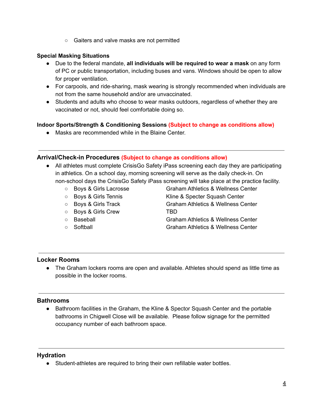○ Gaiters and valve masks are not permitted

#### **Special Masking Situations**

- Due to the federal mandate, **all individuals will be required to wear a mask** on any form of PC or public transportation, including buses and vans. Windows should be open to allow for proper ventilation.
- For carpools, and ride-sharing, mask wearing is strongly recommended when individuals are not from the same household and/or are unvaccinated.
- Students and adults who choose to wear masks outdoors, regardless of whether they are vaccinated or not, should feel comfortable doing so.

### **Indoor Sports/Strength & Conditioning Sessions (Subject to change as conditions allow)**

● Masks are recommended while in the Blaine Center.

### **Arrival/Check-in Procedures (Subject to change as conditions allow)**

- All athletes must complete CrisisGo Safety iPass screening each day they are participating in athletics. On a school day, morning screening will serve as the daily check-in. On non-school days the CrisisGo Safety iPass screening will take place at the practice facility.
	- Boys & Girls Lacrosse Graham Athletics & Wellness Center
	-
	-
	- Boys & Girls Crew TBD
	-
	-

○ Boys & Girls Tennis Kline & Specter Squash Center ○ Boys & Girls Track Graham Athletics & Wellness Center

- Baseball Graham Athletics & Wellness Center
- Softball Graham Athletics & Wellness Center

# **Locker Rooms**

● The Graham lockers rooms are open and available. Athletes should spend as little time as possible in the locker rooms.

# **Bathrooms**

• Bathroom facilities in the Graham, the Kline & Spector Squash Center and the portable bathrooms in Chigwell Close will be available. Please follow signage for the permitted occupancy number of each bathroom space.

#### **Hydration**

● Student-athletes are required to bring their own refillable water bottles.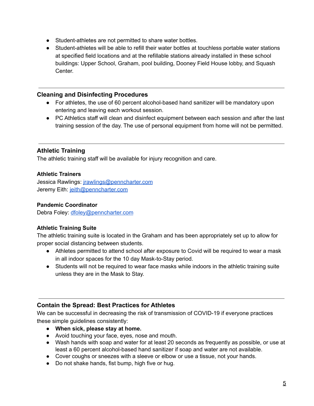- Student-athletes are not permitted to share water bottles.
- Student-athletes will be able to refill their water bottles at touchless portable water stations at specified field locations and at the refillable stations already installed in these school buildings: Upper School, Graham, pool building, Dooney Field House lobby, and Squash Center.

#### **Cleaning and Disinfecting Procedures**

- For athletes, the use of 60 percent alcohol-based hand sanitizer will be mandatory upon entering and leaving each workout session.
- PC Athletics staff will clean and disinfect equipment between each session and after the last training session of the day. The use of personal equipment from home will not be permitted.

# **Athletic Training**

The athletic training staff will be available for injury recognition and care.

### **Athletic Trainers**

Jessica Rawlings: [jrawlings@penncharter.com](mailto:jrawlings@penncharter.com) Jeremy Eith: [jeith@penncharter.com](mailto:jeith@penncharter.com)

### **Pandemic Coordinator**

Debra Foley: [dfoley@penncharter.com](mailto:dfoley@penncharter.com)

# **Athletic Training Suite**

The athletic training suite is located in the Graham and has been appropriately set up to allow for proper social distancing between students.

- Athletes permitted to attend school after exposure to Covid will be required to wear a mask in all indoor spaces for the 10 day Mask-to-Stay period.
- Students will not be required to wear face masks while indoors in the athletic training suite unless they are in the Mask to Stay.

# **Contain the Spread: Best Practices for Athletes**

We can be successful in decreasing the risk of transmission of COVID-19 if everyone practices these simple guidelines consistently:

- **● When sick, please stay at home.**
- Avoid touching your face, eyes, nose and mouth.
- Wash hands with soap and water for at least 20 seconds as frequently as possible, or use at least a 60 percent alcohol-based hand sanitizer if soap and water are not available.
- Cover coughs or sneezes with a sleeve or elbow or use a tissue, not your hands.
- Do not shake hands, fist bump, high five or hug.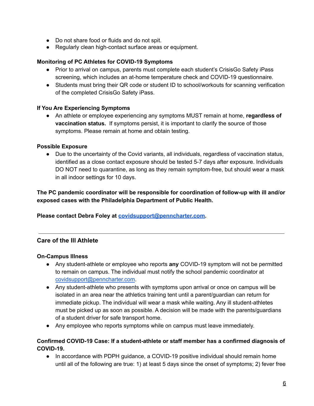- Do not share food or fluids and do not spit.
- Regularly clean high-contact surface areas or equipment.

#### **Monitoring of PC Athletes for COVID-19 Symptoms**

- Prior to arrival on campus, parents must complete each student's CrisisGo Safety iPass screening, which includes an at-home temperature check and COVID-19 questionnaire.
- Students must bring their QR code or student ID to school/workouts for scanning verification of the completed CrisisGo Safety iPass.

### **If You Are Experiencing Symptoms**

● An athlete or employee experiencing any symptoms MUST remain at home, **regardless of vaccination status.** If symptoms persist, it is important to clarify the source of those symptoms. Please remain at home and obtain testing.

#### **Possible Exposure**

● Due to the uncertainty of the Covid variants, all individuals, regardless of vaccination status, identified as a close contact exposure should be tested 5-7 days after exposure. Individuals DO NOT need to quarantine, as long as they remain symptom-free, but should wear a mask in all indoor settings for 10 days.

**The PC pandemic coordinator will be responsible for coordination of follow-up with ill and/or exposed cases with the Philadelphia Department of Public Health.**

#### **Please contact Debra Foley at [covidsupport@penncharter.com.](mailto:covidsupport@penncharter.com)**

# **Care of the Ill Athlete**

#### **On-Campus Illness**

- Any student-athlete or employee who reports **any** COVID-19 symptom will not be permitted to remain on campus. The individual must notify the school pandemic coordinator at [covidsupport@penncharter.com](mailto:covidsupport@penncharter.com).
- Any student-athlete who presents with symptoms upon arrival or once on campus will be isolated in an area near the athletics training tent until a parent/guardian can return for immediate pickup. The individual will wear a mask while waiting. Any ill student-athletes must be picked up as soon as possible. A decision will be made with the parents/guardians of a student driver for safe transport home.
- Any employee who reports symptoms while on campus must leave immediately.

### **Confirmed COVID-19 Case: If a student-athlete or staff member has a confirmed diagnosis of COVID-19.**

• In accordance with PDPH guidance, a COVID-19 positive individual should remain home until all of the following are true: 1) at least 5 days since the onset of symptoms; 2) fever free